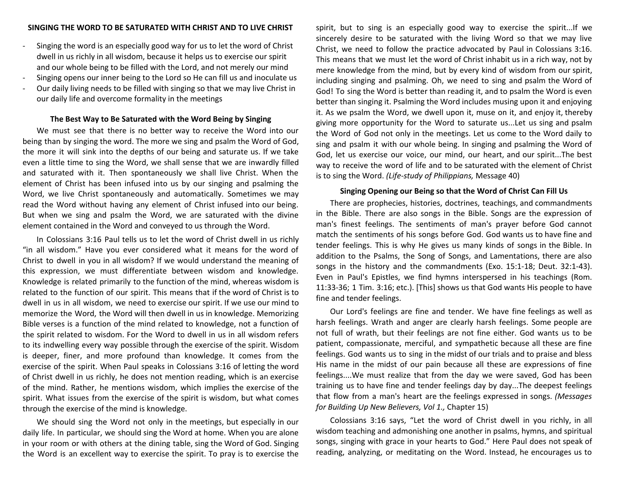- Singing the word is an especially good way for us to let the word of Christ dwell in us richly in all wisdom, because it helps us to exercise our spirit and our whole being to be filled with the Lord, and not merely our mind
- Singing opens our inner being to the Lord so He can fill us and inoculate us
- Our daily living needs to be filled with singing so that we may live Christ in our daily life and overcome formality in the meetings

## **The Best Way to Be Saturated with the Word Being by Singing**

We must see that there is no better way to receive the Word into our being than by singing the word. The more we sing and psalm the Word of God, the more it will sink into the depths of our being and saturate us. If we take even a little time to sing the Word, we shall sense that we are inwardly filled and saturated with it. Then spontaneously we shall live Christ. When the element of Christ has been infused into us by our singing and psalming the Word, we live Christ spontaneously and automatically. Sometimes we may read the Word without having any element of Christ infused into our being. But when we sing and psalm the Word, we are saturated with the divine element contained in the Word and conveyed to us through the Word.

In Colossians 3:16 Paul tells us to let the word of Christ dwell in us richly "in all wisdom." Have you ever considered what it means for the word of Christ to dwell in you in all wisdom? If we would understand the meaning of this expression, we must differentiate between wisdom and knowledge. Knowledge is related primarily to the function of the mind, whereas wisdom is related to the function of our spirit. This means that if the word of Christ is to dwell in us in all wisdom, we need to exercise our spirit. If we use our mind to memorize the Word, the Word will then dwell in us in knowledge. Memorizing Bible verses is a function of the mind related to knowledge, not a function of the spirit related to wisdom. For the Word to dwell in us in all wisdom refers to its indwelling every way possible through the exercise of the spirit. Wisdom is deeper, finer, and more profound than knowledge. It comes from the exercise of the spirit. When Paul speaks in Colossians 3:16 of letting the word of Christ dwell in us richly, he does not mention reading, which is an exercise of the mind. Rather, he mentions wisdom, which implies the exercise of the spirit. What issues from the exercise of the spirit is wisdom, but what comes through the exercise of the mind is knowledge.

We should sing the Word not only in the meetings, but especially in our daily life. In particular, we should sing the Word at home. When you are alone in your room or with others at the dining table, sing the Word of God. Singing the Word is an excellent way to exercise the spirit. To pray is to exercise the

spirit, but to sing is an especially good way to exercise the spirit...If we sincerely desire to be saturated with the living Word so that we may live Christ, we need to follow the practice advocated by Paul in Colossians 3:16. This means that we must let the word of Christ inhabit us in a rich way, not by mere knowledge from the mind, but by every kind of wisdom from our spirit, including singing and psalming. Oh, we need to sing and psalm the Word of God! To sing the Word is better than reading it, and to psalm the Word is even better than singing it. Psalming the Word includes musing upon it and enjoying it. As we psalm the Word, we dwell upon it, muse on it, and enjoy it, thereby giving more opportunity for the Word to saturate us...Let us sing and psalm the Word of God not only in the meetings. Let us come to the Word daily to sing and psalm it with our whole being. In singing and psalming the Word of God, let us exercise our voice, our mind, our heart, and our spirit...The best way to receive the word of life and to be saturated with the element of Christ is to sing the Word. *(Life-study of Philippians,* Message 40)

## **Singing Opening our Being so that the Word of Christ Can Fill Us**

There are prophecies, histories, doctrines, teachings, and commandments in the Bible. There are also songs in the Bible. Songs are the expression of man's finest feelings. The sentiments of man's prayer before God cannot match the sentiments of his songs before God. God wants us to have fine and tender feelings. This is why He gives us many kinds of songs in the Bible. In addition to the Psalms, the Song of Songs, and Lamentations, there are also songs in the history and the commandments (Exo. 15:1-18; Deut. 32:1-43). Even in Paul's Epistles, we find hymns interspersed in his teachings (Rom. 11:33-36; 1 Tim. 3:16; etc.). [This] shows us that God wants His people to have fine and tender feelings.

Our Lord's feelings are fine and tender. We have fine feelings as well as harsh feelings. Wrath and anger are clearly harsh feelings. Some people are not full of wrath, but their feelings are not fine either. God wants us to be patient, compassionate, merciful, and sympathetic because all these are fine feelings. God wants us to sing in the midst of our trials and to praise and bless His name in the midst of our pain because all these are expressions of fine feelings....We must realize that from the day we were saved, God has been training us to have fine and tender feelings day by day...The deepest feelings that flow from a man's heart are the feelings expressed in songs. *(Messages for Building Up New Believers, Vol 1.,* Chapter 15)

Colossians 3:16 says, "Let the word of Christ dwell in you richly, in all wisdom teaching and admonishing one another in psalms, hymns, and spiritual songs, singing with grace in your hearts to God." Here Paul does not speak of reading, analyzing, or meditating on the Word. Instead, he encourages us to